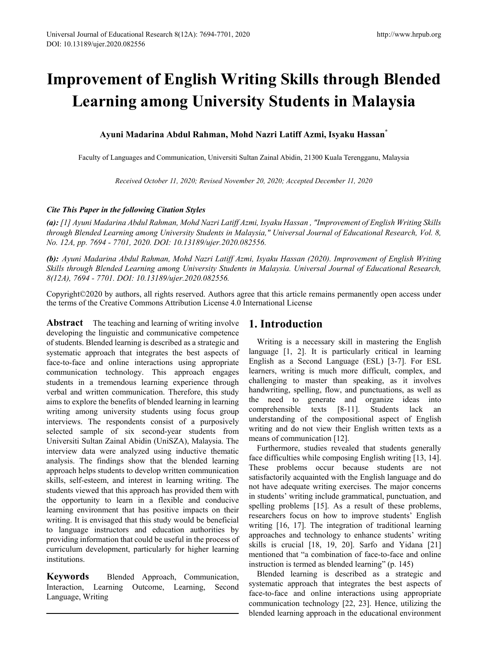# **Improvement of English Writing Skills through Blended Learning among University Students in Malaysia**

# **Ayuni Madarina Abdul Rahman, Mohd Nazri Latiff Azmi, Isyaku Hassan\***

Faculty of Languages and Communication, Universiti Sultan Zainal Abidin, 21300 Kuala Terengganu, Malaysia

*Received October 11, 2020; Revised November 20, 2020; Accepted December 11, 2020*

## *Cite This Paper in the following Citation Styles*

*(a): [1] Ayuni Madarina Abdul Rahman, Mohd Nazri Latiff Azmi, Isyaku Hassan , "Improvement of English Writing Skills through Blended Learning among University Students in Malaysia," Universal Journal of Educational Research, Vol. 8, No. 12A, pp. 7694 - 7701, 2020. DOI: 10.13189/ujer.2020.082556.* 

*(b): Ayuni Madarina Abdul Rahman, Mohd Nazri Latiff Azmi, Isyaku Hassan (2020). Improvement of English Writing Skills through Blended Learning among University Students in Malaysia. Universal Journal of Educational Research, 8(12A), 7694 - 7701. DOI: 10.13189/ujer.2020.082556.* 

Copyright©2020 by authors, all rights reserved. Authors agree that this article remains permanently open access under the terms of the Creative Commons Attribution License 4.0 International License

**Abstract** The teaching and learning of writing involve developing the linguistic and communicative competence of students. Blended learning is described as a strategic and systematic approach that integrates the best aspects of face-to-face and online interactions using appropriate communication technology. This approach engages students in a tremendous learning experience through verbal and written communication. Therefore, this study aims to explore the benefits of blended learning in learning writing among university students using focus group interviews. The respondents consist of a purposively selected sample of six second-year students from Universiti Sultan Zainal Abidin (UniSZA), Malaysia. The interview data were analyzed using inductive thematic analysis. The findings show that the blended learning approach helps students to develop written communication skills, self-esteem, and interest in learning writing. The students viewed that this approach has provided them with the opportunity to learn in a flexible and conducive learning environment that has positive impacts on their writing. It is envisaged that this study would be beneficial to language instructors and education authorities by providing information that could be useful in the process of curriculum development, particularly for higher learning institutions.

**Keywords** Blended Approach, Communication, Interaction, Learning Outcome, Learning, Second Language, Writing

# **1. Introduction**

Writing is a necessary skill in mastering the English language [1, 2]. It is particularly critical in learning English as a Second Language (ESL) [3-7]. For ESL learners, writing is much more difficult, complex, and challenging to master than speaking, as it involves handwriting, spelling, flow, and punctuations, as well as the need to generate and organize ideas into comprehensible texts [8-11]. Students lack an understanding of the compositional aspect of English writing and do not view their English written texts as a means of communication [12].

Furthermore, studies revealed that students generally face difficulties while composing English writing [13, 14]. These problems occur because students are not satisfactorily acquainted with the English language and do not have adequate writing exercises. The major concerns in students' writing include grammatical, punctuation, and spelling problems [15]. As a result of these problems, researchers focus on how to improve students' English writing [16, 17]. The integration of traditional learning approaches and technology to enhance students' writing skills is crucial [18, 19, 20]. Sarfo and Yidana [21] mentioned that "a combination of face-to-face and online instruction is termed as blended learning" (p. 145)

Blended learning is described as a strategic and systematic approach that integrates the best aspects of face-to-face and online interactions using appropriate communication technology [22, 23]. Hence, utilizing the blended learning approach in the educational environment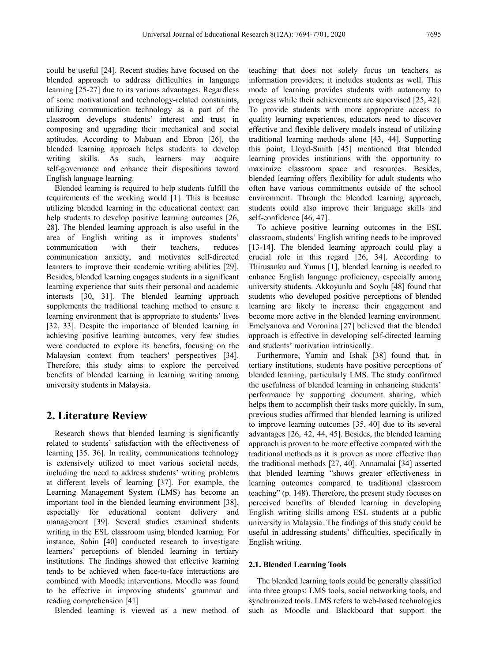could be useful [24]. Recent studies have focused on the blended approach to address difficulties in language learning [25-27] due to its various advantages. Regardless of some motivational and technology-related constraints, utilizing communication technology as a part of the classroom develops students' interest and trust in composing and upgrading their mechanical and social aptitudes. According to Mabuan and Ebron [26], the blended learning approach helps students to develop writing skills. As such, learners may acquire self-governance and enhance their dispositions toward English language learning.

Blended learning is required to help students fulfill the requirements of the working world [1]. This is because utilizing blended learning in the educational context can help students to develop positive learning outcomes [26, 28]. The blended learning approach is also useful in the area of English writing as it improves students' communication with their teachers, reduces communication anxiety, and motivates self-directed learners to improve their academic writing abilities [29]. Besides, blended learning engages students in a significant learning experience that suits their personal and academic interests [30, 31]. The blended learning approach supplements the traditional teaching method to ensure a learning environment that is appropriate to students' lives [32, 33]. Despite the importance of blended learning in achieving positive learning outcomes, very few studies were conducted to explore its benefits, focusing on the Malaysian context from teachers' perspectives [34]. Therefore, this study aims to explore the perceived benefits of blended learning in learning writing among university students in Malaysia.

## **2. Literature Review**

Research shows that blended learning is significantly related to students' satisfaction with the effectiveness of learning [35. 36]. In reality, communications technology is extensively utilized to meet various societal needs, including the need to address students' writing problems at different levels of learning [37]. For example, the Learning Management System (LMS) has become an important tool in the blended learning environment [38], especially for educational content delivery and management [39]. Several studies examined students writing in the ESL classroom using blended learning. For instance, Sahin [40] conducted research to investigate learners' perceptions of blended learning in tertiary institutions. The findings showed that effective learning tends to be achieved when face-to-face interactions are combined with Moodle interventions. Moodle was found to be effective in improving students' grammar and reading comprehension [41]

Blended learning is viewed as a new method of

teaching that does not solely focus on teachers as information providers; it includes students as well. This mode of learning provides students with autonomy to progress while their achievements are supervised [25, 42]. To provide students with more appropriate access to quality learning experiences, educators need to discover effective and flexible delivery models instead of utilizing traditional learning methods alone [43, 44]. Supporting this point, Lloyd-Smith [45] mentioned that blended learning provides institutions with the opportunity to maximize classroom space and resources. Besides, blended learning offers flexibility for adult students who often have various commitments outside of the school environment. Through the blended learning approach, students could also improve their language skills and self-confidence [46, 47].

To achieve positive learning outcomes in the ESL classroom, students' English writing needs to be improved [13-14]. The blended learning approach could play a crucial role in this regard [26, 34]. According to Thirusanku and Yunus [1], blended learning is needed to enhance English language proficiency, especially among university students. Akkoyunlu and Soylu [48] found that students who developed positive perceptions of blended learning are likely to increase their engagement and become more active in the blended learning environment. Emelyanova and Voronina [27] believed that the blended approach is effective in developing self-directed learning and students' motivation intrinsically.

Furthermore, Yamin and Ishak [38] found that, in tertiary institutions, students have positive perceptions of blended learning, particularly LMS. The study confirmed the usefulness of blended learning in enhancing students' performance by supporting document sharing, which helps them to accomplish their tasks more quickly. In sum, previous studies affirmed that blended learning is utilized to improve learning outcomes [35, 40] due to its several advantages [26, 42, 44, 45]. Besides, the blended learning approach is proven to be more effective compared with the traditional methods as it is proven as more effective than the traditional methods [27, 40]. Annamalai [34] asserted that blended learning "shows greater effectiveness in learning outcomes compared to traditional classroom teaching" (p. 148). Therefore, the present study focuses on perceived benefits of blended learning in developing English writing skills among ESL students at a public university in Malaysia. The findings of this study could be useful in addressing students' difficulties, specifically in English writing.

#### **2.1. Blended Learning Tools**

The blended learning tools could be generally classified into three groups: LMS tools, social networking tools, and synchronized tools. LMS refers to web-based technologies such as Moodle and Blackboard that support the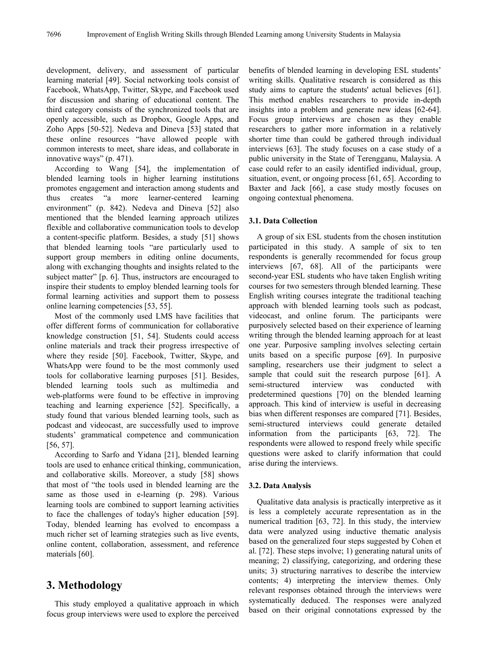development, delivery, and assessment of particular learning material [49]. Social networking tools consist of Facebook, WhatsApp, Twitter, Skype, and Facebook used for discussion and sharing of educational content. The third category consists of the synchronized tools that are openly accessible, such as Dropbox, Google Apps, and Zoho Apps [50-52]. Nedeva and Dineva [53] stated that these online resources "have allowed people with common interests to meet, share ideas, and collaborate in innovative ways" (p. 471).

According to Wang [54], the implementation of blended learning tools in higher learning institutions promotes engagement and interaction among students and thus creates "a more learner-centered learning environment" (p. 842). Nedeva and Dineva [52] also mentioned that the blended learning approach utilizes flexible and collaborative communication tools to develop a content-specific platform. Besides, a study [51] shows that blended learning tools "are particularly used to support group members in editing online documents, along with exchanging thoughts and insights related to the subject matter" [p. 6]. Thus, instructors are encouraged to inspire their students to employ blended learning tools for formal learning activities and support them to possess online learning competencies [53, 55].

Most of the commonly used LMS have facilities that offer different forms of communication for collaborative knowledge construction [51, 54]. Students could access online materials and track their progress irrespective of where they reside [50]. Facebook, Twitter, Skype, and WhatsApp were found to be the most commonly used tools for collaborative learning purposes [51]. Besides, blended learning tools such as multimedia and web-platforms were found to be effective in improving teaching and learning experience [52]. Specifically, a study found that various blended learning tools, such as podcast and videocast, are successfully used to improve students' grammatical competence and communication [56, 57].

According to Sarfo and Yidana [21], blended learning tools are used to enhance critical thinking, communication, and collaborative skills. Moreover, a study [58] shows that most of "the tools used in blended learning are the same as those used in e-learning (p. 298). Various learning tools are combined to support learning activities to face the challenges of today's higher education [59]. Today, blended learning has evolved to encompass a much richer set of learning strategies such as live events, online content, collaboration, assessment, and reference materials [60].

# **3. Methodology**

This study employed a qualitative approach in which focus group interviews were used to explore the perceived benefits of blended learning in developing ESL students' writing skills. Qualitative research is considered as this study aims to capture the students' actual believes [61]. This method enables researchers to provide in-depth insights into a problem and generate new ideas [62-64]. Focus group interviews are chosen as they enable researchers to gather more information in a relatively shorter time than could be gathered through individual interviews [63]. The study focuses on a case study of a public university in the State of Terengganu, Malaysia. A case could refer to an easily identified individual, group, situation, event, or ongoing process [61, 65]. According to Baxter and Jack [66], a case study mostly focuses on ongoing contextual phenomena.

### **3.1. Data Collection**

A group of six ESL students from the chosen institution participated in this study. A sample of six to ten respondents is generally recommended for focus group interviews [67, 68]. All of the participants were second-year ESL students who have taken English writing courses for two semesters through blended learning. These English writing courses integrate the traditional teaching approach with blended learning tools such as podcast, videocast, and online forum. The participants were purposively selected based on their experience of learning writing through the blended learning approach for at least one year. Purposive sampling involves selecting certain units based on a specific purpose [69]. In purposive sampling, researchers use their judgment to select a sample that could suit the research purpose [61]. A semi-structured interview was conducted with predetermined questions [70] on the blended learning approach. This kind of interview is useful in decreasing bias when different responses are compared [71]. Besides, semi-structured interviews could generate detailed information from the participants [63, 72]. The respondents were allowed to respond freely while specific questions were asked to clarify information that could arise during the interviews.

#### **3.2. Data Analysis**

Qualitative data analysis is practically interpretive as it is less a completely accurate representation as in the numerical tradition [63, 72]. In this study, the interview data were analyzed using inductive thematic analysis based on the generalized four steps suggested by Cohen et al. [72]. These steps involve; 1) generating natural units of meaning; 2) classifying, categorizing, and ordering these units; 3) structuring narratives to describe the interview contents; 4) interpreting the interview themes. Only relevant responses obtained through the interviews were systematically deduced. The responses were analyzed based on their original connotations expressed by the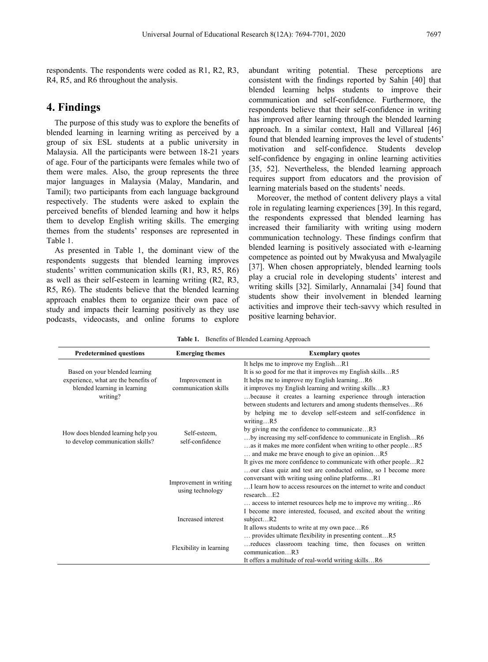respondents. The respondents were coded as R1, R2, R3, R4, R5, and R6 throughout the analysis.

# **4. Findings**

The purpose of this study was to explore the benefits of blended learning in learning writing as perceived by a group of six ESL students at a public university in Malaysia. All the participants were between 18-21 years of age. Four of the participants were females while two of them were males. Also, the group represents the three major languages in Malaysia (Malay, Mandarin, and Tamil); two participants from each language background respectively. The students were asked to explain the perceived benefits of blended learning and how it helps them to develop English writing skills. The emerging themes from the students' responses are represented in Table 1.

As presented in Table 1, the dominant view of the respondents suggests that blended learning improves students' written communication skills (R1, R3, R5, R6) as well as their self-esteem in learning writing (R2, R3, R5, R6). The students believe that the blended learning approach enables them to organize their own pace of study and impacts their learning positively as they use podcasts, videocasts, and online forums to explore abundant writing potential. These perceptions are consistent with the findings reported by Sahin [40] that blended learning helps students to improve their communication and self-confidence. Furthermore, the respondents believe that their self-confidence in writing has improved after learning through the blended learning approach. In a similar context, Hall and Villareal [46] found that blended learning improves the level of students' motivation and self-confidence. Students develop self-confidence by engaging in online learning activities [35, 52]. Nevertheless, the blended learning approach requires support from educators and the provision of learning materials based on the students' needs.

Moreover, the method of content delivery plays a vital role in regulating learning experiences [39]. In this regard, the respondents expressed that blended learning has increased their familiarity with writing using modern communication technology. These findings confirm that blended learning is positively associated with e-learning competence as pointed out by Mwakyusa and Mwalyagile [37]. When chosen appropriately, blended learning tools play a crucial role in developing students' interest and writing skills [32]. Similarly, Annamalai [34] found that students show their involvement in blended learning activities and improve their tech-savvy which resulted in positive learning behavior.

**Table 1.** Benefits of Blended Learning Approach

| <b>Predetermined questions</b>                                                                                     | <b>Emerging themes</b>                     | <b>Exemplary quotes</b>                                                                                                                                                                                                                                                                                                                                                                                                                       |
|--------------------------------------------------------------------------------------------------------------------|--------------------------------------------|-----------------------------------------------------------------------------------------------------------------------------------------------------------------------------------------------------------------------------------------------------------------------------------------------------------------------------------------------------------------------------------------------------------------------------------------------|
| Based on your blended learning<br>experience, what are the benefits of<br>blended learning in learning<br>writing? | Improvement in<br>communication skills     | It helps me to improve my EnglishR1<br>It is so good for me that it improves my English skillsR5<br>It helps me to improve my English learningR6<br>it improves my English learning and writing skillsR3<br>because it creates a learning experience through interaction<br>between students and lecturers and among students themselvesR6                                                                                                    |
| How does blended learning help you<br>to develop communication skills?                                             | Self-esteem,<br>self-confidence            | by helping me to develop self-esteem and self-confidence in<br>writingR5<br>by giving me the confidence to communicateR3<br>by increasing my self-confidence to communicate in EnglishR6<br>as it makes me more confident when writing to other peopleR5<br>and make me brave enough to give an opinionR5<br>It gives me more confidence to communicate with other peopleR2<br>our class quiz and test are conducted online, so I become more |
|                                                                                                                    | Improvement in writing<br>using technology | conversant with writing using online platformsR1<br>I learn how to access resources on the internet to write and conduct<br>$research$ . $E2$                                                                                                                                                                                                                                                                                                 |
|                                                                                                                    | Increased interest                         | access to internet resources help me to improve my writingR6<br>I become more interested, focused, and excited about the writing<br>subjectR2<br>It allows students to write at my own paceR6                                                                                                                                                                                                                                                 |
|                                                                                                                    | Flexibility in learning                    | provides ultimate flexibility in presenting contentR5<br>reduces classroom teaching time, then focuses on written<br>communication. R3<br>It offers a multitude of real-world writing skillsR6                                                                                                                                                                                                                                                |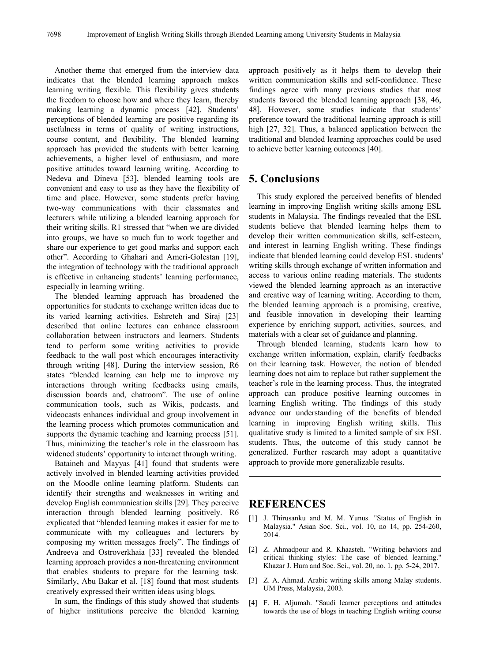Another theme that emerged from the interview data indicates that the blended learning approach makes learning writing flexible. This flexibility gives students the freedom to choose how and where they learn, thereby making learning a dynamic process [42]. Students' perceptions of blended learning are positive regarding its usefulness in terms of quality of writing instructions, course content, and flexibility. The blended learning approach has provided the students with better learning achievements, a higher level of enthusiasm, and more positive attitudes toward learning writing. According to Nedeva and Dineva [53], blended learning tools are convenient and easy to use as they have the flexibility of time and place. However, some students prefer having two-way communications with their classmates and lecturers while utilizing a blended learning approach for their writing skills. R1 stressed that "when we are divided into groups, we have so much fun to work together and share our experience to get good marks and support each other". According to Ghahari and Ameri-Golestan [19], the integration of technology with the traditional approach is effective in enhancing students' learning performance, especially in learning writing.

The blended learning approach has broadened the opportunities for students to exchange written ideas due to its varied learning activities. Eshreteh and Siraj [23] described that online lectures can enhance classroom collaboration between instructors and learners. Students tend to perform some writing activities to provide feedback to the wall post which encourages interactivity through writing [48]. During the interview session, R6 states "blended learning can help me to improve my interactions through writing feedbacks using emails, discussion boards and, chatroom". The use of online communication tools, such as Wikis, podcasts, and videocasts enhances individual and group involvement in the learning process which promotes communication and supports the dynamic teaching and learning process [51]. Thus, minimizing the teacher's role in the classroom has widened students' opportunity to interact through writing.

Bataineh and Mayyas [41] found that students were actively involved in blended learning activities provided on the Moodle online learning platform. Students can identify their strengths and weaknesses in writing and develop English communication skills [29]. They perceive interaction through blended learning positively. R6 explicated that "blended learning makes it easier for me to communicate with my colleagues and lecturers by composing my written messages freely". The findings of Andreeva and Ostroverkhaia [33] revealed the blended learning approach provides a non-threatening environment that enables students to prepare for the learning task. Similarly, Abu Bakar et al. [18] found that most students creatively expressed their written ideas using blogs.

In sum, the findings of this study showed that students of higher institutions perceive the blended learning approach positively as it helps them to develop their written communication skills and self-confidence. These findings agree with many previous studies that most students favored the blended learning approach [38, 46, 48]. However, some studies indicate that students' preference toward the traditional learning approach is still high [27, 32]. Thus, a balanced application between the traditional and blended learning approaches could be used to achieve better learning outcomes [40].

# **5. Conclusions**

This study explored the perceived benefits of blended learning in improving English writing skills among ESL students in Malaysia. The findings revealed that the ESL students believe that blended learning helps them to develop their written communication skills, self-esteem, and interest in learning English writing. These findings indicate that blended learning could develop ESL students' writing skills through exchange of written information and access to various online reading materials. The students viewed the blended learning approach as an interactive and creative way of learning writing. According to them, the blended learning approach is a promising, creative, and feasible innovation in developing their learning experience by enriching support, activities, sources, and materials with a clear set of guidance and planning.

Through blended learning, students learn how to exchange written information, explain, clarify feedbacks on their learning task. However, the notion of blended learning does not aim to replace but rather supplement the teacher's role in the learning process. Thus, the integrated approach can produce positive learning outcomes in learning English writing. The findings of this study advance our understanding of the benefits of blended learning in improving English writing skills. This qualitative study is limited to a limited sample of six ESL students. Thus, the outcome of this study cannot be generalized. Further research may adopt a quantitative approach to provide more generalizable results.

## **REFERENCES**

- [1] J. Thirusanku and M. M. Yunus. "Status of English in Malaysia." Asian Soc. Sci., vol. 10, no 14, pp. 254-260, 2014.
- [2] Z. Ahmadpour and R. Khaasteh. "Writing behaviors and critical thinking styles: The case of blended learning." Khazar J. Hum and Soc. Sci., vol. 20, no. 1, pp. 5-24, 2017.
- [3] Z. A. Ahmad. Arabic writing skills among Malay students. UM Press, Malaysia, 2003.
- [4] F. H. Aljumah. "Saudi learner perceptions and attitudes towards the use of blogs in teaching English writing course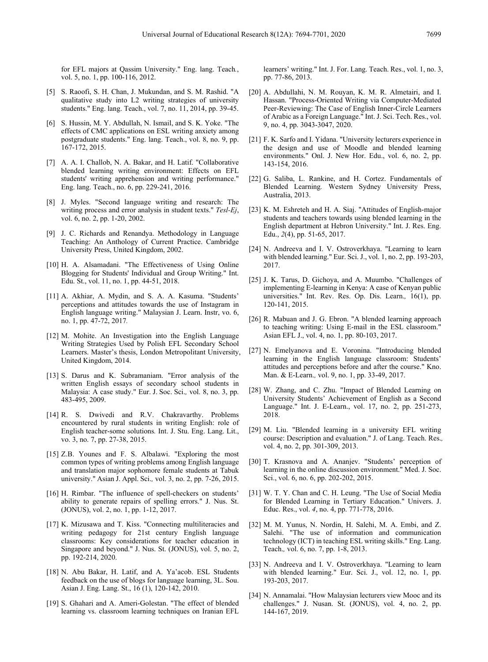for EFL majors at Qassim University." Eng. lang. Teach*.*, vol. 5, no. 1, pp. 100-116, 2012.

- [5] S. Raoofi, S. H. Chan, J. Mukundan, and S. M. Rashid. "A qualitative study into L2 writing strategies of university students." Eng. lang. Teach., vol. 7, no. 11, 2014, pp. 39-45.
- [6] S. Hussin, M. Y. Abdullah, N. Ismail, and S. K. Yoke. "The effects of CMC applications on ESL writing anxiety among postgraduate students." Eng. lang. Teach., vol. 8, no. 9, pp. 167-172, 2015.
- [7] A. A. I. Challob, N. A. Bakar, and H. Latif. "Collaborative blended learning writing environment: Effects on EFL students' writing apprehension and writing performance." Eng. lang. Teach., no. 6, pp. 229-241, 2016.
- [8] J. Myles. "Second language writing and research: The writing process and error analysis in student texts." *Tesl-Ej*, vol. 6, no. 2, pp. 1-20, 2002.
- [9] J. C. Richards and Renandya. Methodology in Language Teaching: An Anthology of Current Practice. Cambridge University Press, United Kingdom, 2002.
- [10] H. A. Alsamadani. "The Effectiveness of Using Online Blogging for Students' Individual and Group Writing." Int. Edu. St., vol. 11, no. 1, pp. 44-51, 2018.
- [11] A. Akhiar, A. Mydin, and S. A. A. Kasuma. "Students' perceptions and attitudes towards the use of Instagram in English language writing." Malaysian J. Learn. Instr, vo. 6, no. 1, pp. 47-72, 2017*.*
- [12] M. Mohite. An Investigation into the English Language Writing Strategies Used by Polish EFL Secondary School Learners. Master's thesis, London Metropolitant University, United Kingdom, 2014.
- [13] S. Darus and K. Subramaniam. "Error analysis of the written English essays of secondary school students in Malaysia: A case study." Eur. J. Soc. Sci.*,* vol. 8, no. 3, pp. 483-495, 2009.
- [14] R. S. Dwivedi and R.V. Chakravarthy. Problems encountered by rural students in writing English: role of English teacher-some solutions*.* Int. J. Stu. Eng. Lang. Lit., vo. 3, no. 7, pp. 27-38, 2015.
- [15] Z.B. Younes and F. S. Albalawi. "Exploring the most common types of writing problems among English language and translation major sophomore female students at Tabuk university." Asian J. Appl. Sci.*,* vol. 3, no. 2, pp. 7-26, 2015.
- [16] H. Rimbar. "The influence of spell-checkers on students' ability to generate repairs of spelling errors." J. Nus. St. (JONUS), vol. 2, no. 1, pp. 1-12, 2017.
- [17] K. Mizusawa and T. Kiss. "Connecting multiliteracies and writing pedagogy for 21st century English language classrooms: Key considerations for teacher education in Singapore and beyond." J. Nus. St. (JONUS), vol. 5, no. 2, pp. 192-214, 2020.
- [18] N. Abu Bakar, H. Latif, and A. Ya'acob. ESL Students feedback on the use of blogs for language learning, 3L. Sou. Asian J. Eng. Lang. St., 16 (1), 120-142, 2010.
- [19] S. Ghahari and A. Ameri-Golestan. "The effect of blended learning vs. classroom learning techniques on Iranian EFL

learners' writing." Int. J. For. Lang. Teach. Res., vol. 1, no. 3, pp. 77-86, 2013.

- [20] A. Abdullahi, N. M. Rouyan, K. M. R. Almetairi, and I. Hassan. "Process-Oriented Writing via Computer-Mediated Peer-Reviewing: The Case of English Inner-Circle Learners of Arabic as a Foreign Language." Int. J. Sci. Tech. Res., vol. 9, no. 4, pp. 3043-3047, 2020.
- [21] F. K. Sarfo and I. Yidana. "University lecturers experience in the design and use of Moodle and blended learning environments." Onl. J. New Hor. Edu., vol. 6, no. 2, pp. 143-154, 2016.
- [22] G. Saliba, L. Rankine, and H. Cortez. Fundamentals of Blended Learning*.* Western Sydney University Press, Australia, 2013.
- [23] K. M. Eshreteh and H. A. Siaj. "Attitudes of English-major students and teachers towards using blended learning in the English department at Hebron University." Int. J. Res. Eng. Edu., *2*(4), pp. 51-65, 2017.
- [24] N. Andreeva and I. V. Ostroverkhaya. "Learning to learn with blended learning." Eur. Sci. J., vol. 1, no. 2, pp. 193-203, 2017.
- [25] J. K. Tarus, D. Gichoya, and A. Muumbo. "Challenges of implementing E-learning in Kenya: A case of Kenyan public universities." Int. Rev. Res. Op. Dis. Learn.*,* 16(1), pp. 120-141, 2015.
- [26] R. Mabuan and J. G. Ebron. "A blended learning approach to teaching writing: Using E-mail in the ESL classroom." Asian EFL J., vol. 4, no. 1, pp. 80-103, 2017.
- [27] N. Emelyanova and E. Voronina. "Introducing blended learning in the English language classroom: Students' attitudes and perceptions before and after the course." Kno. Man. & E-Learn.*,* vol. 9, no. 1, pp. 33-49, 2017.
- [28] W. Zhang, and C. Zhu. "Impact of Blended Learning on University Students' Achievement of English as a Second Language." Int. J. E-Learn., vol. 17, no. 2, pp. 251-273, 2018.
- [29] M. Liu. "Blended learning in a university EFL writing course: Description and evaluation." J. of Lang. Teach. Res.*,*  vol. 4, no. 2, pp. 301-309, 2013.
- [30] T. Krasnova and A. Ananjev. "Students' perception of learning in the online discussion environment." Med. J. Soc. Sci., vol. 6, no. 6, pp. 202-202, 2015.
- [31] W. T. Y. Chan and C. H. Leung. "The Use of Social Media for Blended Learning in Tertiary Education." Univers. J. Educ. Res., vol. *4*, no. 4, pp. 771-778, 2016.
- [32] M. M. Yunus, N. Nordin, H. Salehi, M. A. Embi, and Z. Salehi. "The use of information and communication technology (ICT) in teaching ESL writing skills." Eng. Lang. Teach.*,* vol. 6, no. 7, pp. 1-8, 2013.
- [33] N. Andreeva and I. V. Ostroverkhaya. "Learning to learn with blended learning." Eur. Sci. J., vol. 12, no. 1, pp. 193-203, 2017.
- [34] N. Annamalai. "How Malaysian lecturers view Mooc and its challenges." J. Nusan. St. (JONUS), vol. 4, no. 2, pp. 144-167, 2019.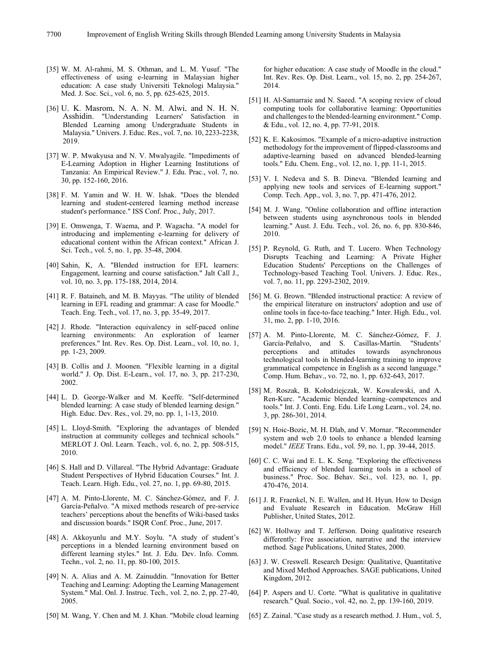- [35] W. M. Al-rahmi, M. S. Othman, and L. M. Yusuf. "The effectiveness of using e-learning in Malaysian higher education: A case study Universiti Teknologi Malaysia." Med. J. Soc. Sci., vol. 6, no. 5, pp. 625-625, 2015.
- [36] U. K. Masrom, N. A. N. M. Alwi, and N. H. N. Asshidin. "Understanding Learners' Satisfaction in Blended Learning among Undergraduate Students in Malaysia." Univers. J. Educ. Res., vol. 7, no. 10, 2233-2238, 2019.
- [37] W. P. Mwakyusa and N. V. Mwalyagile. "Impediments of E-Learning Adoption in Higher Learning Institutions of Tanzania: An Empirical Review." J. Edu. Prac., vol. 7, no. 30, pp. 152-160, 2016.
- [38] F. M. Yamin and W. H. W. Ishak. "Does the blended learning and student-centered learning method increase student's performance." ISS Conf. Proc., July, 2017.
- [39] E. Omwenga, T. Waema, and P. Wagacha. "A model for introducing and implementing e-learning for delivery of educational content within the African context." African J. Sci. Tech., vol. 5, no. 1, pp. 35-48, 2004.
- [40] Sahin, K, A. "Blended instruction for EFL learners: Engagement, learning and course satisfaction." Jalt Call J., vol. 10, no. 3, pp. 175-188, 2014, 2014.
- [41] R. F. Bataineh, and M. B. Mayyas. "The utility of blended learning in EFL reading and grammar: A case for Moodle." Teach. Eng. Tech., vol. 17, no. 3, pp. 35-49, 2017.
- [42] J. Rhode. "Interaction equivalency in self-paced online learning environments: An exploration of learner preferences." Int. Rev. Res. Op. Dist. Learn., vol. 10, no. 1, pp. 1-23, 2009.
- [43] B. Collis and J. Moonen. "Flexible learning in a digital world." J. Op. Dist. E-Learn., vol. 17, no. 3, pp. 217-230, 2002.
- [44] L. D. George-Walker and M. Keeffe. "Self-determined blended learning: A case study of blended learning design*.*" High. Educ. Dev. Res., vol. 29, no. pp. 1, 1-13, 2010.
- [45] L. Lloyd-Smith. "Exploring the advantages of blended instruction at community colleges and technical schools*.*" MERLOT J. Onl. Learn. Teach.*,* vol. 6, no. 2, pp. 508-515, 2010.
- [46] S. Hall and D. Villareal. "The Hybrid Advantage: Graduate Student Perspectives of Hybrid Education Courses." Int. J. Teach. Learn. High. Edu., vol. 27, no. 1, pp. 69-80, 2015.
- [47] A. M. Pinto-Llorente, M. C. Sánchez-Gómez, and F. J. García-Peñalvo. "A mixed methods research of pre-service teachers' perceptions about the benefits of Wiki-based tasks and discussion boards." ISQR Conf. Proc., June, 2017.
- [48] A. Akkoyunlu and M.Y. Soylu. "A study of student's perceptions in a blended learning environment based on different learning styles." Int. J. Edu. Dev. Info. Comm. Techn., vol. 2, no. 11, pp. 80-100, 2015.
- [49] N. A. Alias and A. M. Zainuddin. "Innovation for Better Teaching and Learning: Adopting the Learning Management System." Mal. Onl. J. Instruc. Tech.*,* vol. 2, no. 2, pp. 27-40, 2005.
- [50] M. Wang, Y. Chen and M. J. Khan. "Mobile cloud learning

for higher education: A case study of Moodle in the cloud." Int. Rev. Res. Op. Dist. Learn., vol. 15, no. 2, pp. 254-267, 2014.

- [51] H. Al-Samarraie and N. Saeed. "A scoping review of cloud computing tools for collaborative learning: Opportunities and challenges to the blended-learning environment." Comp. & Edu., vol. 12, no. 4, pp. 77-91, 2018.
- [52] K. E. Kakosimos. "Example of a micro-adaptive instruction methodology for the improvement of flipped-classrooms and adaptive-learning based on advanced blended-learning tools." Edu. Chem. Eng., vol. 12, no. 1, pp. 11-1, 2015.
- [53] V. I. Nedeva and S. B. Dineva. "Blended learning and applying new tools and services of E-learning support." Comp. Tech. App., vol. 3, no. 7, pp. 471-476, 2012.
- [54] M. J. Wang. "Online collaboration and offline interaction between students using asynchronous tools in blended learning." Aust. J. Edu. Tech., vol. 26, no. 6, pp. 830-846, 2010.
- [55] P. Reynold, G. Ruth, and T. Lucero. When Technology Disrupts Teaching and Learning: A Private Higher Education Students' Perceptions on the Challenges of Technology-based Teaching Tool. Univers. J. Educ. Res., vol. 7, no. 11, pp. 2293-2302, 2019.
- [56] M. G. Brown. "Blended instructional practice: A review of the empirical literature on instructors' adoption and use of online tools in face-to-face teaching." Inter. High. Edu., vol. 31, mo. 2, pp. 1-10, 2016.
- [57] A. M. Pinto-Llorente, M. C. Sánchez-Gómez, F. J. García-Peñalvo, and S. Casillas-Martín. "Students' perceptions and attitudes towards asynchronous technological tools in blended-learning training to improve grammatical competence in English as a second language." Comp. Hum. Behav., vo. 72, no. 1, pp. 632-643, 2017.
- [58] M. Roszak, B. Kołodziejczak, W. Kowalewski, and A. Ren-Kurc. "Academic blended learning–competences and tools." Int. J. Conti. Eng. Edu. Life Long Learn., vol. 24, no. 3, pp. 286-301, 2014.
- [59] N. Hoic-Bozic, M. H. Dlab, and V. Mornar. "Recommender system and web 2.0 tools to enhance a blended learning model." *IEEE* Trans. Edu., vol. 59, no. 1, pp. 39-44, 2015.
- [60] C. C. Wai and E. L. K. Seng. "Exploring the effectiveness and efficiency of blended learning tools in a school of business." Proc. Soc. Behav. Sci., vol. 123, no. 1, pp. 470-476, 2014.
- [61] J. R. Fraenkel, N. E. Wallen, and H. Hyun. How to Design and Evaluate Research in Education. McGraw Hill Publisher, United States, 2012.
- [62] W. Hollway and T. Jefferson. Doing qualitative research differently: Free association, narrative and the interview method. Sage Publications, United States, 2000.
- [63] J. W. Creswell. Research Design: Qualitative, Quantitative and Mixed Method Approaches. SAGE publications, United Kingdom, 2012.
- [64] P. Aspers and U. Corte. "What is qualitative in qualitative research." Qual. Socio., vol. 42, no. 2, pp. 139-160, 2019.
- [65] Z. Zainal. "Case study as a research method. J. Hum., vol. 5,